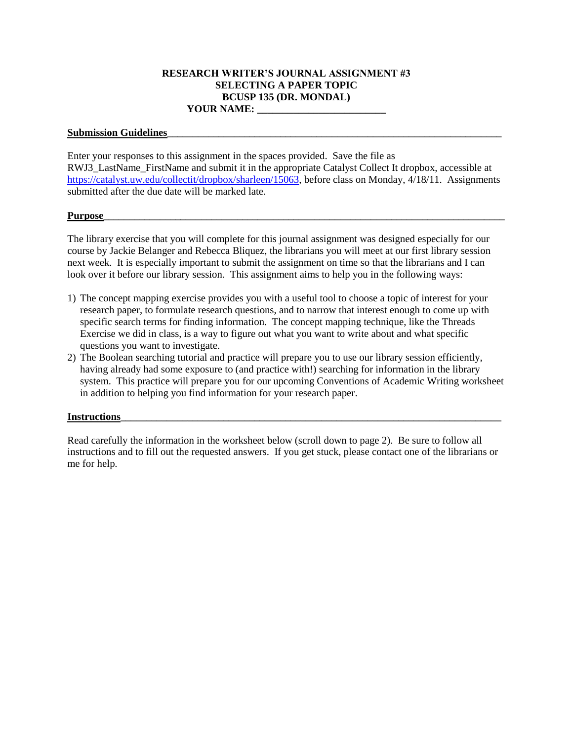# **RESEARCH WRITER'S JOURNAL ASSIGNMENT #3 SELECTING A PAPER TOPIC BCUSP 135 (DR. MONDAL) YOUR NAME: \_\_\_\_\_\_\_\_\_\_\_\_\_\_\_\_\_\_\_\_\_\_\_\_\_**

### Submission Guidelines

Enter your responses to this assignment in the spaces provided. Save the file as RWJ3\_LastName\_FirstName and submit it in the appropriate Catalyst Collect It dropbox, accessible at [https://catalyst.uw.edu/collectit/dropbox/sharleen/15063,](https://catalyst.uw.edu/collectit/dropbox/sharleen/15063) before class on Monday, 4/18/11. Assignments submitted after the due date will be marked late.

#### **Purpose\_\_\_\_\_\_\_\_\_\_\_\_\_\_\_\_\_\_\_\_\_\_\_\_\_\_\_\_\_\_\_\_\_\_\_\_\_\_\_\_\_\_\_\_\_\_\_\_\_\_\_\_\_\_\_\_\_\_\_\_\_\_\_\_\_\_\_\_\_\_\_\_\_\_\_\_\_\_**

The library exercise that you will complete for this journal assignment was designed especially for our course by Jackie Belanger and Rebecca Bliquez, the librarians you will meet at our first library session next week. It is especially important to submit the assignment on time so that the librarians and I can look over it before our library session. This assignment aims to help you in the following ways:

- 1) The concept mapping exercise provides you with a useful tool to choose a topic of interest for your research paper, to formulate research questions, and to narrow that interest enough to come up with specific search terms for finding information. The concept mapping technique, like the Threads Exercise we did in class, is a way to figure out what you want to write about and what specific questions you want to investigate.
- 2) The Boolean searching tutorial and practice will prepare you to use our library session efficiently, having already had some exposure to (and practice with!) searching for information in the library system. This practice will prepare you for our upcoming Conventions of Academic Writing worksheet in addition to helping you find information for your research paper.

### **Instructions**

Read carefully the information in the worksheet below (scroll down to page 2). Be sure to follow all instructions and to fill out the requested answers. If you get stuck, please contact one of the librarians or me for help.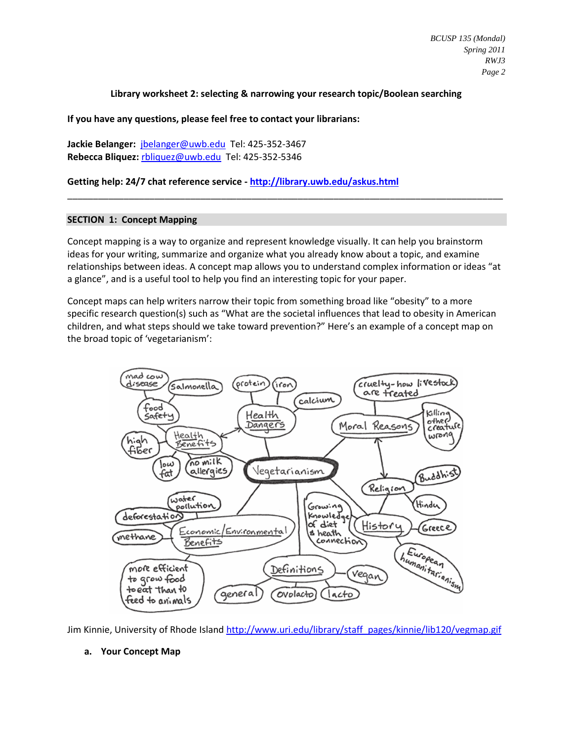## **Library worksheet 2: selecting & narrowing your research topic/Boolean searching**

**If you have any questions, please feel free to contact your librarians:**

**Jackie Belanger:** [jbelanger@uwb.edu](mailto:jbelanger@uwb.edu) Tel: 425-352-3467 **Rebecca Bliquez:** [rbliquez@uwb.edu](mailto:rbliquez@uwb.edu) Tel: 425-352-5346

**Getting help: 24/7 chat reference service - <http://library.uwb.edu/askus.html>**

### **SECTION 1: Concept Mapping**

Concept mapping is a way to organize and represent knowledge visually. It can help you brainstorm ideas for your writing, summarize and organize what you already know about a topic, and examine relationships between ideas. A concept map allows you to understand complex information or ideas "at a glance", and is a useful tool to help you find an interesting topic for your paper.

\_\_\_\_\_\_\_\_\_\_\_\_\_\_\_\_\_\_\_\_\_\_\_\_\_\_\_\_\_\_\_\_\_\_\_\_\_\_\_\_\_\_\_\_\_\_\_\_\_\_\_\_\_\_\_\_\_\_\_\_\_\_\_\_\_\_\_\_\_\_\_\_\_\_\_\_\_\_\_\_\_\_\_\_\_

Concept maps can help writers narrow their topic from something broad like "obesity" to a more specific research question(s) such as "What are the societal influences that lead to obesity in American children, and what steps should we take toward prevention?" Here's an example of a concept map on the broad topic of 'vegetarianism':



Jim Kinnie, University of Rhode Island [http://www.uri.edu/library/staff\\_pages/kinnie/lib120/vegmap.gif](http://www.uri.edu/library/staff_pages/kinnie/lib120/vegmap.gif)

# **a. Your Concept Map**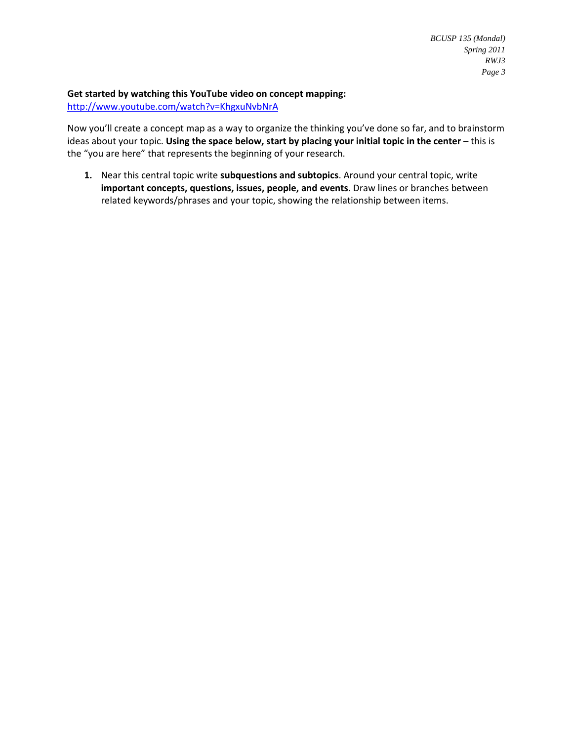## **Get started by watching this YouTube video on concept mapping:**

<http://www.youtube.com/watch?v=KhgxuNvbNrA>

Now you'll create a concept map as a way to organize the thinking you've done so far, and to brainstorm ideas about your topic. **Using the space below, start by placing your initial topic in the center** – this is the "you are here" that represents the beginning of your research.

**1.** Near this central topic write **subquestions and subtopics**. Around your central topic, write **important concepts, questions, issues, people, and events**. Draw lines or branches between related keywords/phrases and your topic, showing the relationship between items.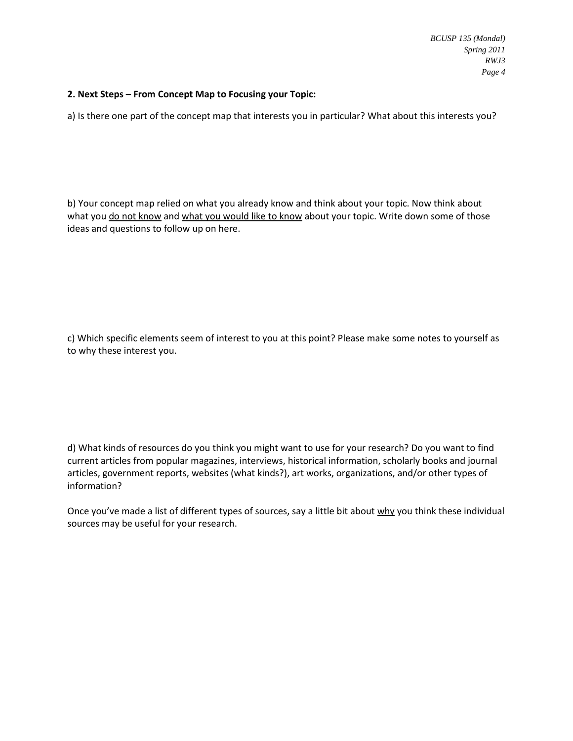# **2. Next Steps – From Concept Map to Focusing your Topic:**

a) Is there one part of the concept map that interests you in particular? What about this interests you?

b) Your concept map relied on what you already know and think about your topic. Now think about what you do not know and what you would like to know about your topic. Write down some of those ideas and questions to follow up on here.

c) Which specific elements seem of interest to you at this point? Please make some notes to yourself as to why these interest you.

d) What kinds of resources do you think you might want to use for your research? Do you want to find current articles from popular magazines, interviews, historical information, scholarly books and journal articles, government reports, websites (what kinds?), art works, organizations, and/or other types of information?

Once you've made a list of different types of sources, say a little bit about why you think these individual sources may be useful for your research.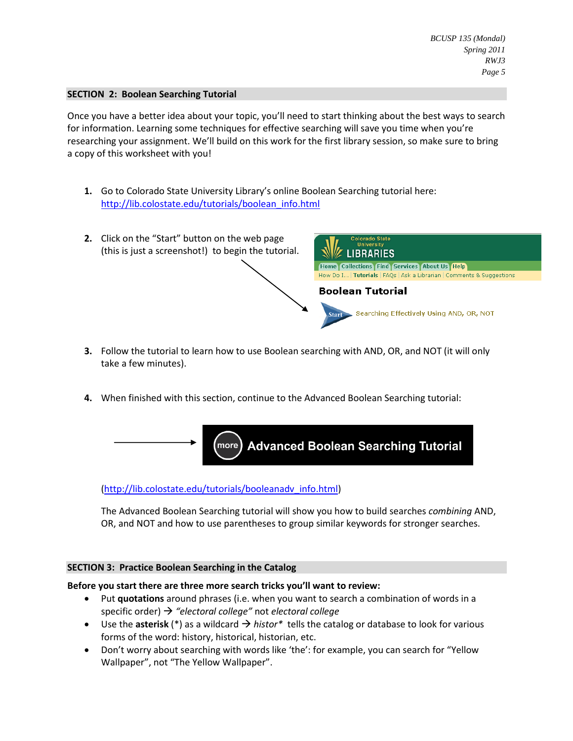## **SECTION 2: Boolean Searching Tutorial**

Once you have a better idea about your topic, you'll need to start thinking about the best ways to search for information. Learning some techniques for effective searching will save you time when you're researching your assignment. We'll build on this work for the first library session, so make sure to bring a copy of this worksheet with you!

**1.** Go to Colorado State University Library's online Boolean Searching tutorial here: [http://lib.colostate.edu/tutorials/boolean\\_info.html](http://lib.colostate.edu/tutorials/boolean_info.html)



- **3.** Follow the tutorial to learn how to use Boolean searching with AND, OR, and NOT (it will only take a few minutes).
- **4.** When finished with this section, continue to the Advanced Boolean Searching tutorial:



# [\(http://lib.colostate.edu/tutorials/booleanadv\\_info.html\)](http://lib.colostate.edu/tutorials/booleanadv_info.html)

The Advanced Boolean Searching tutorial will show you how to build searches *combining* AND, OR, and NOT and how to use parentheses to group similar keywords for stronger searches.

### **SECTION 3: Practice Boolean Searching in the Catalog**

### **Before you start there are three more search tricks you'll want to review:**

- Put **quotations** around phrases (i.e. when you want to search a combination of words in a specific order) *"electoral college"* not *electoral college*
- $\bullet$  Use the **asterisk** (\*) as a wildcard  $\rightarrow$  histor\* tells the catalog or database to look for various forms of the word: history, historical, historian, etc.
- Don't worry about searching with words like 'the': for example, you can search for "Yellow Wallpaper", not "The Yellow Wallpaper".